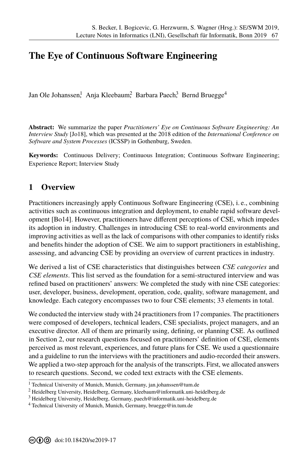## **[T](#page--1-0)he Eye of Continuous Software Engineering**

Jan Ole Johanssen, Anja Kleebaum, Barbara Paech, Bernd Bruegge<sup>4</sup>

**Abstract:** We summarize the paper *Practitioners' Eye on Continuous Software Engineering: An Interview Study* [Jo18], which was presented at the 2018 edition of the *International Conference on Software and System Processes* (ICSSP) in Gothenburg, Sweden.

**Keywords:** Continuous Delivery; Continuous Integration; Continuous Software Engineering; Experience Report; Interview Study

## **1 Overvie[w](#page-1-0)**

Practitioners increasingly apply Continuous Software Engineering (CSE), i. e., combining activities such as continuous integration and deployment, to enable rapid software development [Bo14]. However, practitioners have different perceptions of CSE, which impedes its adoption in industry. Challenges in introducing CSE to real-world environments and improving activities as well as the lack of comparisons with other companies to identify risks and benefits hinder the adoption of CSE. We aim to support practitioners in establishing, assessing, and advancing CSE by providing an overview of current practices in industry.

We derived a list of CSE characteristics that distinguishes between *CSE categories* and *CSE elements*. This list served as the foundation for a semi-structured interview and was refined based on practitioners' answers: We completed the study with nine CSE categories: user, developer, business, development, operation, code, quality, software management, and knowledge. Each category encompasses two to four CSE elements; 33 elements in total.

We conducted the interview study with 24 practitioners from 17 companies. The practitioners were composed of developers, technical leaders, CSE specialists, project managers, and an executive director. All of them are primarily using, defining, or planning CSE. As outlined in Section 2, our research questions focused on practitioners' definition of CSE, elements perceived as most relevant, experiences, and future plans for CSE. We used a questionnaire and a guid[eli](#page-1-1)ne to run the interviews with the practitioners and audio-recorded their answers. We applied a two-step approach for the analysis of the transcripts. First, we allocated answers to research questions. Second, we coded text extracts with the CSE elements.

<sup>1</sup> Technical University of Munich, Munich, Germany, jan.johanssen@tum.de

<sup>2</sup> Heidelberg University, Heidelberg, Germany, kleeb[aum@informatik.uni-he](jan.johanssen@tum.de)idelberg.de

<sup>3</sup> Heidelberg University, Heidelberg, Germany, [paech@informatik.uni-heidelberg.de](kleebaum@informatik.uni-heidelberg.de)

<sup>&</sup>lt;sup>4</sup> Technical University of Munich, Munich, Germany, <bruegge@in.tum.de>